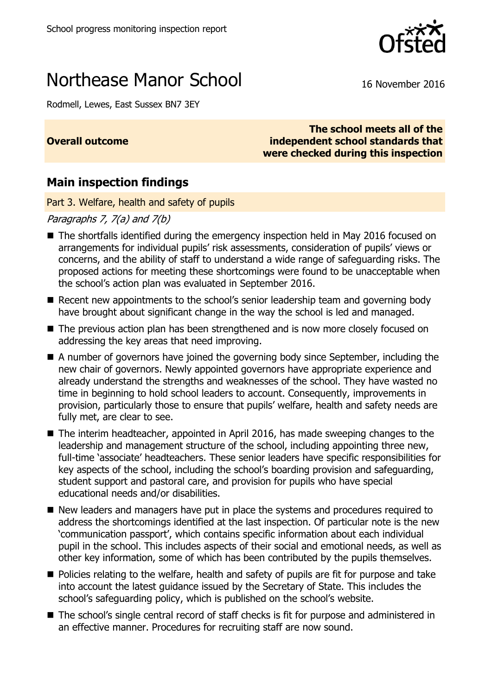

# Northease Manor School 16 November 2016

Rodmell, Lewes, East Sussex BN7 3EY

#### **Overall outcome**

**The school meets all of the independent school standards that were checked during this inspection**

## **Main inspection findings**

Part 3. Welfare, health and safety of pupils

Paragraphs 7, 7(a) and 7(b)

- The shortfalls identified during the emergency inspection held in May 2016 focused on arrangements for individual pupils' risk assessments, consideration of pupils' views or concerns, and the ability of staff to understand a wide range of safeguarding risks. The proposed actions for meeting these shortcomings were found to be unacceptable when the school's action plan was evaluated in September 2016.
- Recent new appointments to the school's senior leadership team and governing body have brought about significant change in the way the school is led and managed.
- The previous action plan has been strengthened and is now more closely focused on addressing the key areas that need improving.
- A number of governors have joined the governing body since September, including the new chair of governors. Newly appointed governors have appropriate experience and already understand the strengths and weaknesses of the school. They have wasted no time in beginning to hold school leaders to account. Consequently, improvements in provision, particularly those to ensure that pupils' welfare, health and safety needs are fully met, are clear to see.
- The interim headteacher, appointed in April 2016, has made sweeping changes to the leadership and management structure of the school, including appointing three new, full-time 'associate' headteachers. These senior leaders have specific responsibilities for key aspects of the school, including the school's boarding provision and safeguarding, student support and pastoral care, and provision for pupils who have special educational needs and/or disabilities.
- New leaders and managers have put in place the systems and procedures required to address the shortcomings identified at the last inspection. Of particular note is the new 'communication passport', which contains specific information about each individual pupil in the school. This includes aspects of their social and emotional needs, as well as other key information, some of which has been contributed by the pupils themselves.
- **Policies relating to the welfare, health and safety of pupils are fit for purpose and take** into account the latest guidance issued by the Secretary of State. This includes the school's safeguarding policy, which is published on the school's website.
- The school's single central record of staff checks is fit for purpose and administered in an effective manner. Procedures for recruiting staff are now sound.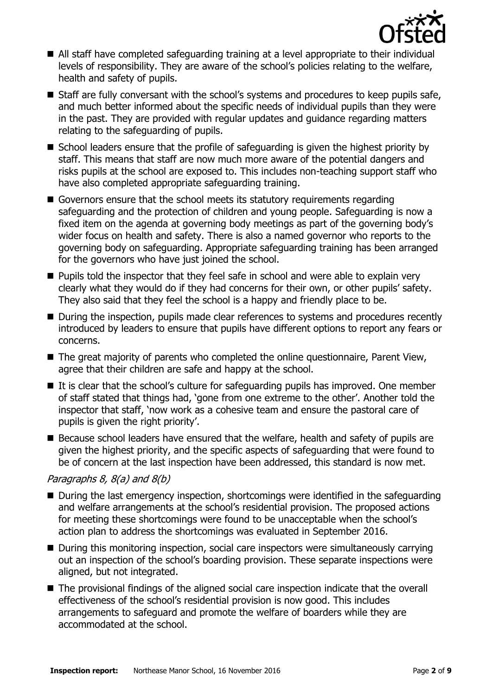

- All staff have completed safeguarding training at a level appropriate to their individual levels of responsibility. They are aware of the school's policies relating to the welfare, health and safety of pupils.
- Staff are fully conversant with the school's systems and procedures to keep pupils safe, and much better informed about the specific needs of individual pupils than they were in the past. They are provided with regular updates and guidance regarding matters relating to the safeguarding of pupils.
- School leaders ensure that the profile of safeguarding is given the highest priority by staff. This means that staff are now much more aware of the potential dangers and risks pupils at the school are exposed to. This includes non-teaching support staff who have also completed appropriate safeguarding training.
- Governors ensure that the school meets its statutory requirements regarding safeguarding and the protection of children and young people. Safeguarding is now a fixed item on the agenda at governing body meetings as part of the governing body's wider focus on health and safety. There is also a named governor who reports to the governing body on safeguarding. Appropriate safeguarding training has been arranged for the governors who have just joined the school.
- $\blacksquare$  Pupils told the inspector that they feel safe in school and were able to explain very clearly what they would do if they had concerns for their own, or other pupils' safety. They also said that they feel the school is a happy and friendly place to be.
- During the inspection, pupils made clear references to systems and procedures recently introduced by leaders to ensure that pupils have different options to report any fears or concerns.
- The great majority of parents who completed the online guestionnaire, Parent View, agree that their children are safe and happy at the school.
- $\blacksquare$  It is clear that the school's culture for safeguarding pupils has improved. One member of staff stated that things had, 'gone from one extreme to the other'. Another told the inspector that staff, 'now work as a cohesive team and ensure the pastoral care of pupils is given the right priority'.
- Because school leaders have ensured that the welfare, health and safety of pupils are given the highest priority, and the specific aspects of safeguarding that were found to be of concern at the last inspection have been addressed, this standard is now met.

#### Paragraphs 8, 8(a) and 8(b)

- During the last emergency inspection, shortcomings were identified in the safeguarding and welfare arrangements at the school's residential provision. The proposed actions for meeting these shortcomings were found to be unacceptable when the school's action plan to address the shortcomings was evaluated in September 2016.
- During this monitoring inspection, social care inspectors were simultaneously carrying out an inspection of the school's boarding provision. These separate inspections were aligned, but not integrated.
- The provisional findings of the aligned social care inspection indicate that the overall effectiveness of the school's residential provision is now good. This includes arrangements to safeguard and promote the welfare of boarders while they are accommodated at the school.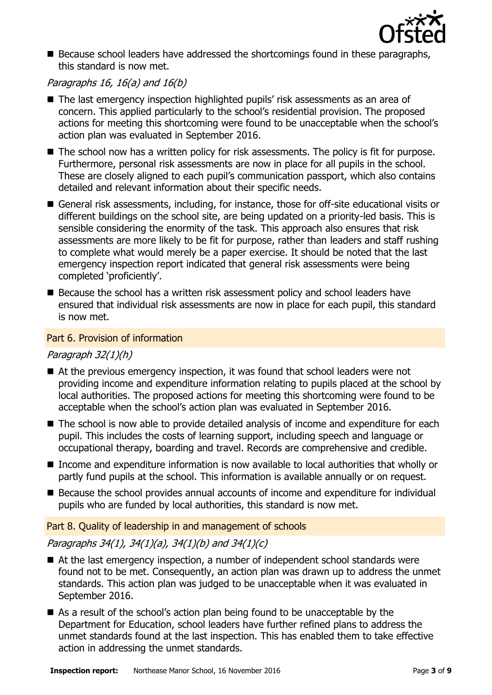

Because school leaders have addressed the shortcomings found in these paragraphs, this standard is now met.

#### Paragraphs 16, 16(a) and 16(b)

- The last emergency inspection highlighted pupils' risk assessments as an area of concern. This applied particularly to the school's residential provision. The proposed actions for meeting this shortcoming were found to be unacceptable when the school's action plan was evaluated in September 2016.
- The school now has a written policy for risk assessments. The policy is fit for purpose. Furthermore, personal risk assessments are now in place for all pupils in the school. These are closely aligned to each pupil's communication passport, which also contains detailed and relevant information about their specific needs.
- General risk assessments, including, for instance, those for off-site educational visits or different buildings on the school site, are being updated on a priority-led basis. This is sensible considering the enormity of the task. This approach also ensures that risk assessments are more likely to be fit for purpose, rather than leaders and staff rushing to complete what would merely be a paper exercise. It should be noted that the last emergency inspection report indicated that general risk assessments were being completed 'proficiently'.
- Because the school has a written risk assessment policy and school leaders have ensured that individual risk assessments are now in place for each pupil, this standard is now met.

#### Part 6. Provision of information

#### Paragraph 32(1)(h)

- At the previous emergency inspection, it was found that school leaders were not providing income and expenditure information relating to pupils placed at the school by local authorities. The proposed actions for meeting this shortcoming were found to be acceptable when the school's action plan was evaluated in September 2016.
- The school is now able to provide detailed analysis of income and expenditure for each pupil. This includes the costs of learning support, including speech and language or occupational therapy, boarding and travel. Records are comprehensive and credible.
- Income and expenditure information is now available to local authorities that wholly or partly fund pupils at the school. This information is available annually or on request.
- Because the school provides annual accounts of income and expenditure for individual pupils who are funded by local authorities, this standard is now met.

#### Part 8. Quality of leadership in and management of schools

#### Paragraphs 34(1), 34(1)(a), 34(1)(b) and 34(1)(c)

- At the last emergency inspection, a number of independent school standards were found not to be met. Consequently, an action plan was drawn up to address the unmet standards. This action plan was judged to be unacceptable when it was evaluated in September 2016.
- As a result of the school's action plan being found to be unacceptable by the Department for Education, school leaders have further refined plans to address the unmet standards found at the last inspection. This has enabled them to take effective action in addressing the unmet standards.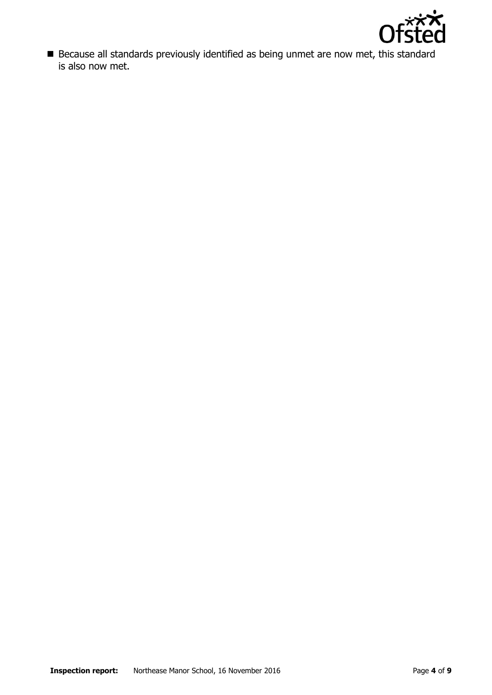

 Because all standards previously identified as being unmet are now met, this standard is also now met.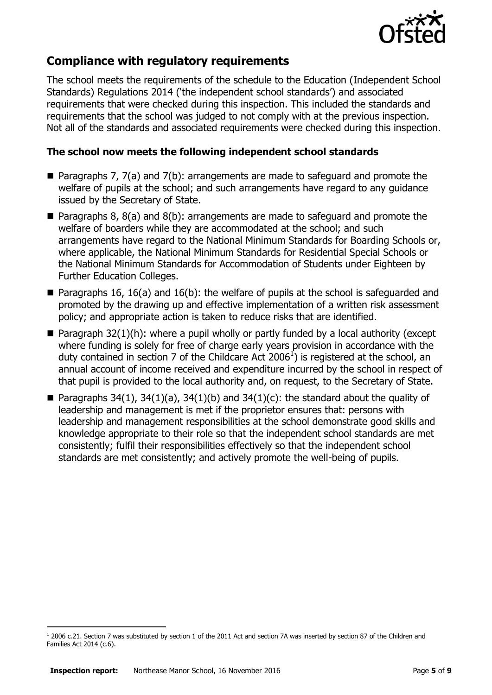

## **Compliance with regulatory requirements**

The school meets the requirements of the schedule to the Education (Independent School Standards) Regulations 2014 ('the independent school standards') and associated requirements that were checked during this inspection. This included the standards and requirements that the school was judged to not comply with at the previous inspection. Not all of the standards and associated requirements were checked during this inspection.

### **The school now meets the following independent school standards**

- **Paragraphs 7, 7(a) and 7(b): arrangements are made to safeguard and promote the** welfare of pupils at the school; and such arrangements have regard to any guidance issued by the Secretary of State.
- **Paragraphs 8, 8(a) and 8(b): arrangements are made to safeguard and promote the** welfare of boarders while they are accommodated at the school; and such arrangements have regard to the National Minimum Standards for Boarding Schools or, where applicable, the National Minimum Standards for Residential Special Schools or the National Minimum Standards for Accommodation of Students under Eighteen by Further Education Colleges.
- **Paragraphs 16, 16(a) and 16(b): the welfare of pupils at the school is safeguarded and** promoted by the drawing up and effective implementation of a written risk assessment policy; and appropriate action is taken to reduce risks that are identified.
- **Paragraph 32(1)(h):** where a pupil wholly or partly funded by a local authority (except where funding is solely for free of charge early years provision in accordance with the duty contained in section 7 of the Childcare Act 2006<sup>1</sup>) is registered at the school, an annual account of income received and expenditure incurred by the school in respect of that pupil is provided to the local authority and, on request, to the Secretary of State.
- **Paragraphs 34(1), 34(1)(a), 34(1)(b) and 34(1)(c): the standard about the quality of** leadership and management is met if the proprietor ensures that: persons with leadership and management responsibilities at the school demonstrate good skills and knowledge appropriate to their role so that the independent school standards are met consistently; fulfil their responsibilities effectively so that the independent school standards are met consistently; and actively promote the well-being of pupils.

-

<sup>&</sup>lt;sup>1</sup> 2006 c.21. Section 7 was substituted by section 1 of the 2011 Act and section 7A was inserted by section 87 of the Children and Families Act 2014 (c.6).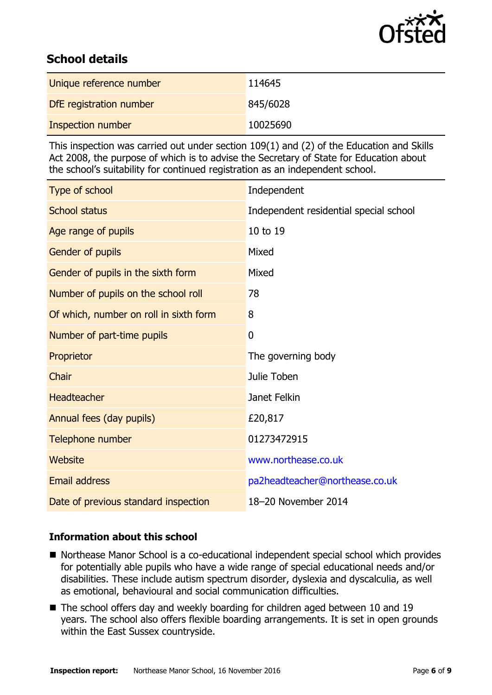

## **School details**

| Unique reference number | 114645   |
|-------------------------|----------|
| DfE registration number | 845/6028 |
| Inspection number       | 10025690 |

This inspection was carried out under section 109(1) and (2) of the Education and Skills Act 2008, the purpose of which is to advise the Secretary of State for Education about the school's suitability for continued registration as an independent school.

| Type of school                         | Independent                            |
|----------------------------------------|----------------------------------------|
| <b>School status</b>                   | Independent residential special school |
| Age range of pupils                    | 10 to 19                               |
| Gender of pupils                       | Mixed                                  |
| Gender of pupils in the sixth form     | Mixed                                  |
| Number of pupils on the school roll    | 78                                     |
| Of which, number on roll in sixth form | 8                                      |
| Number of part-time pupils             | $\mathbf 0$                            |
| Proprietor                             | The governing body                     |
| Chair                                  | Julie Toben                            |
| <b>Headteacher</b>                     | Janet Felkin                           |
| Annual fees (day pupils)               | £20,817                                |
| Telephone number                       | 01273472915                            |
| <b>Website</b>                         | www.northease.co.uk                    |
| <b>Email address</b>                   | pa2headteacher@northease.co.uk         |
| Date of previous standard inspection   | 18-20 November 2014                    |

#### **Information about this school**

- Northease Manor School is a co-educational independent special school which provides for potentially able pupils who have a wide range of special educational needs and/or disabilities. These include autism spectrum disorder, dyslexia and dyscalculia, as well as emotional, behavioural and social communication difficulties.
- The school offers day and weekly boarding for children aged between 10 and 19 years. The school also offers flexible boarding arrangements. It is set in open grounds within the East Sussex countryside.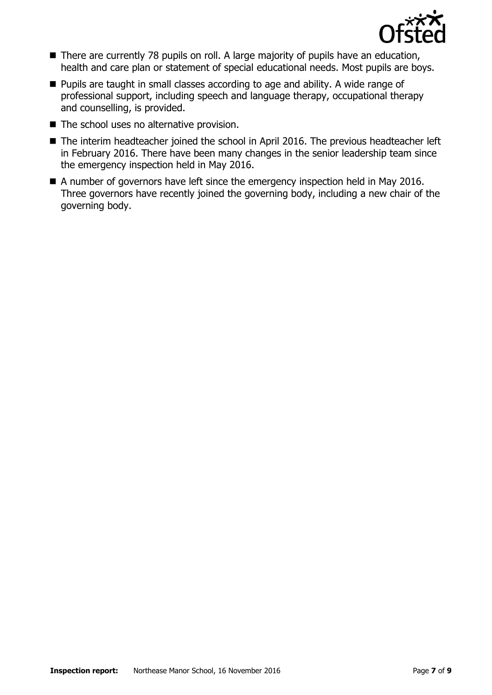

- There are currently 78 pupils on roll. A large majority of pupils have an education, health and care plan or statement of special educational needs. Most pupils are boys.
- Pupils are taught in small classes according to age and ability. A wide range of professional support, including speech and language therapy, occupational therapy and counselling, is provided.
- The school uses no alternative provision.
- The interim headteacher joined the school in April 2016. The previous headteacher left in February 2016. There have been many changes in the senior leadership team since the emergency inspection held in May 2016.
- A number of governors have left since the emergency inspection held in May 2016. Three governors have recently joined the governing body, including a new chair of the governing body.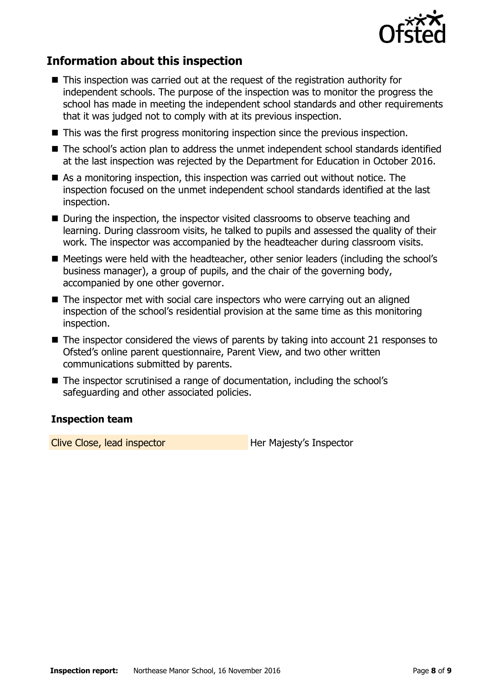

## **Information about this inspection**

- This inspection was carried out at the request of the registration authority for independent schools. The purpose of the inspection was to monitor the progress the school has made in meeting the independent school standards and other requirements that it was judged not to comply with at its previous inspection.
- This was the first progress monitoring inspection since the previous inspection.
- The school's action plan to address the unmet independent school standards identified at the last inspection was rejected by the Department for Education in October 2016.
- As a monitoring inspection, this inspection was carried out without notice. The inspection focused on the unmet independent school standards identified at the last inspection.
- During the inspection, the inspector visited classrooms to observe teaching and learning. During classroom visits, he talked to pupils and assessed the quality of their work. The inspector was accompanied by the headteacher during classroom visits.
- Meetings were held with the headteacher, other senior leaders (including the school's business manager), a group of pupils, and the chair of the governing body, accompanied by one other governor.
- The inspector met with social care inspectors who were carrying out an aligned inspection of the school's residential provision at the same time as this monitoring inspection.
- The inspector considered the views of parents by taking into account 21 responses to Ofsted's online parent questionnaire, Parent View, and two other written communications submitted by parents.
- The inspector scrutinised a range of documentation, including the school's safeguarding and other associated policies.

#### **Inspection team**

Clive Close, lead inspector **Her Majesty's Inspector**